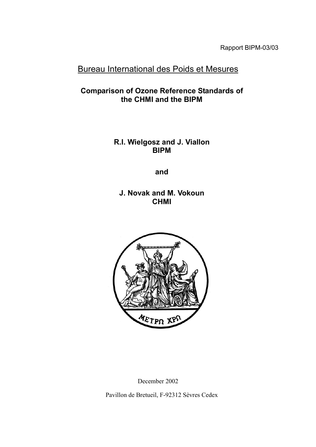Rapport BIPM-03/03

# Bureau International des Poids et Mesures

**Comparison of Ozone Reference Standards of the CHMI and the BIPM**

> **R.I. Wielgosz and J. Viallon BIPM**

> > **and**

**J. Novak and M. Vokoun CHMI**



December 2002 Pavillon de Bretueil, F-92312 Sèvres Cedex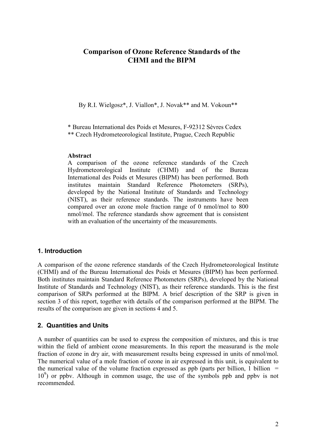# **Comparison of Ozone Reference Standards of the CHMI and the BIPM**

By R.I. Wielgosz\*, J. Viallon\*, J. Novak\*\* and M. Vokoun\*\*

\* Bureau International des Poids et Mesures, F-92312 Sèvres Cedex

\*\* Czech Hydrometeorological Institute, Prague, Czech Republic

#### **Abstract**

A comparison of the ozone reference standards of the Czech Hydrometeorological Institute (CHMI) and of the Bureau International des Poids et Mesures (BIPM) has been performed. Both institutes maintain Standard Reference Photometers (SRPs), developed by the National Institute of Standards and Technology (NIST), as their reference standards. The instruments have been compared over an ozone mole fraction range of 0 nmol/mol to 800 nmol/mol. The reference standards show agreement that is consistent with an evaluation of the uncertainty of the measurements.

# **1. Introduction**

A comparison of the ozone reference standards of the Czech Hydrometeorological Institute (CHMI) and of the Bureau International des Poids et Mesures (BIPM) has been performed. Both institutes maintain Standard Reference Photometers (SRPs), developed by the National Institute of Standards and Technology (NIST), as their reference standards. This is the first comparison of SRPs performed at the BIPM. A brief description of the SRP is given in section 3 of this report, together with details of the comparison performed at the BIPM. The results of the comparison are given in sections 4 and 5.

# **2. Quantities and Units**

A number of quantities can be used to express the composition of mixtures, and this is true within the field of ambient ozone measurements. In this report the measurand is the mole fraction of ozone in dry air, with measurement results being expressed in units of nmol/mol. The numerical value of a mole fraction of ozone in air expressed in this unit, is equivalent to the numerical value of the volume fraction expressed as ppb (parts per billion, 1 billion  $=$ 10<sup>9</sup>) or ppbv. Although in common usage, the use of the symbols ppb and ppbv is not recommended.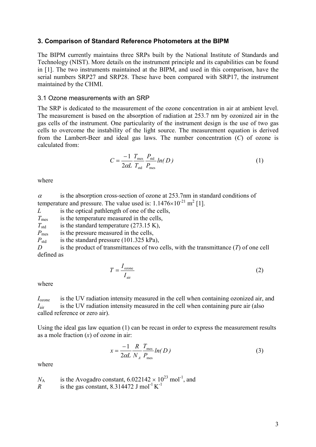#### **3. Comparison of Standard Reference Photometers at the BIPM**

The BIPM currently maintains three SRPs built by the National Institute of Standards and Technology (NIST). More details on the instrument principle and its capabilities can be found in [1]. The two instruments maintained at the BIPM, and used in this comparison, have the serial numbers SRP27 and SRP28. These have been compared with SRP17, the instrument maintained by the CHMI.

#### 3.1 Ozone measurements with an SRP

The SRP is dedicated to the measurement of the ozone concentration in air at ambient level. The measurement is based on the absorption of radiation at 253.7 nm by ozonized air in the gas cells of the instrument. One particularity of the instrument design is the use of two gas cells to overcome the instability of the light source. The measurement equation is derived from the Lambert-Beer and ideal gas laws. The number concentration (*C*) of ozone is calculated from:

$$
C = \frac{-1}{2\alpha L} \frac{T_{\text{mes}}}{T_{\text{std}}} \frac{P_{\text{std}}}{P_{\text{mes}}} ln(D)
$$
 (1)

where

 $\alpha$  is the absorption cross-section of ozone at 253.7nm in standard conditions of temperature and pressure. The value used is:  $1.1476 \times 10^{-21}$  m<sup>2</sup> [1].

*L* is the optical pathlength of one of the cells,

*T*<sub>mes</sub> is the temperature measured in the cells,

 $T<sub>std</sub>$  is the standard temperature (273.15 K),

*P*<sub>mes</sub> is the pressure measured in the cells,

*P*<sub>std</sub> is the standard pressure (101.325 kPa),

*D* is the product of transmittances of two cells, with the transmittance (*T*) of one cell defined as

$$
T = \frac{I_{\text{ozone}}}{I_{\text{air}}}
$$
 (2)

where

*I*<sub>ozone</sub> is the UV radiation intensity measured in the cell when containing ozonized air, and *I*<sub>air</sub> is the UV radiation intensity measured in the cell when containing pure air (also called reference or zero air).

Using the ideal gas law equation (1) can be recast in order to express the measurement results as a mole fraction (*x*) of ozone in air:

$$
x = \frac{-1}{2\alpha L} \frac{R}{N_A} \frac{T_{\text{mes}}}{P_{\text{mes}}} ln(D)
$$
\n(3)

where

 $N_A$  is the Avogadro constant,  $6.022142 \times 10^{23}$  mol<sup>-1</sup>, and

 $R$  is the gas constant, 8.314472 J mol<sup>-1</sup> K<sup>-1</sup>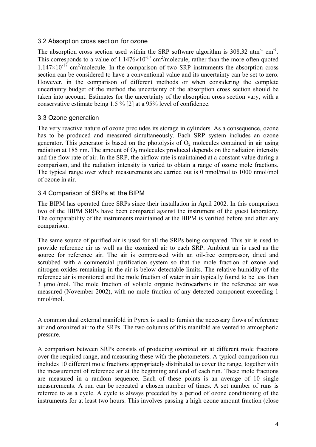#### 3.2 Absorption cross section for ozone

The absorption cross section used within the SRP software algorithm is  $308.32 \text{ atm}^{-1} \text{ cm}^{-1}$ . This corresponds to a value of  $1.1476\times10^{-17}$  cm<sup>2</sup>/molecule, rather than the more often quoted  $1.147\times10^{-17}$  cm<sup>2</sup>/molecule. In the comparison of two SRP instruments the absorption cross section can be considered to have a conventional value and its uncertainty can be set to zero. However, in the comparison of different methods or when considering the complete uncertainty budget of the method the uncertainty of the absorption cross section should be taken into account. Estimates for the uncertainty of the absorption cross section vary, with a conservative estimate being 1.5 % [2] at a 95% level of confidence.

## 3.3 Ozone generation

The very reactive nature of ozone precludes its storage in cylinders. As a consequence, ozone has to be produced and measured simultaneously. Each SRP system includes an ozone generator. This generator is based on the photolysis of  $O_2$  molecules contained in air using radiation at 185 nm. The amount of  $O_3$  molecules produced depends on the radiation intensity and the flow rate of air. In the SRP, the airflow rate is maintained at a constant value during a comparison, and the radiation intensity is varied to obtain a range of ozone mole fractions. The typical range over which measurements are carried out is 0 nmol/mol to 1000 nmol/mol of ozone in air.

# 3.4 Comparison of SRPs at the BIPM

The BIPM has operated three SRPs since their installation in April 2002. In this comparison two of the BIPM SRPs have been compared against the instrument of the guest laboratory. The comparability of the instruments maintained at the BIPM is verified before and after any comparison.

The same source of purified air is used for all the SRPs being compared. This air is used to provide reference air as well as the ozonized air to each SRP. Ambient air is used as the source for reference air. The air is compressed with an oil-free compressor, dried and scrubbed with a commercial purification system so that the mole fraction of ozone and nitrogen oxides remaining in the air is below detectable limits. The relative humidity of the reference air is monitored and the mole fraction of water in air typically found to be less than 3 umol/mol. The mole fraction of volatile organic hydrocarbons in the reference air was measured (November 2002), with no mole fraction of any detected component exceeding 1 nmol/mol.

A common dual external manifold in Pyrex is used to furnish the necessary flows of reference air and ozonized air to the SRPs. The two columns of this manifold are vented to atmospheric pressure.

A comparison between SRPs consists of producing ozonized air at different mole fractions over the required range, and measuring these with the photometers. A typical comparison run includes 10 different mole fractions appropriately distributed to cover the range, together with the measurement of reference air at the beginning and end of each run. These mole fractions are measured in a random sequence. Each of these points is an average of 10 single measurements. A run can be repeated a chosen number of times. A set number of runs is referred to as a cycle. A cycle is always preceded by a period of ozone conditioning of the instruments for at least two hours. This involves passing a high ozone amount fraction (close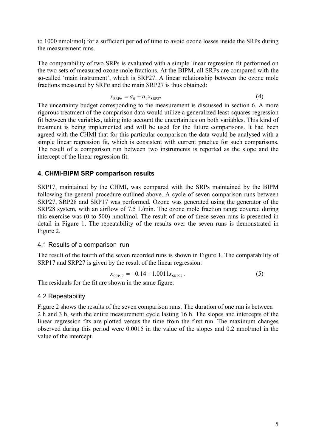to 1000 nmol/mol) for a sufficient period of time to avoid ozone losses inside the SRPs during the measurement runs.

The comparability of two SRPs is evaluated with a simple linear regression fit performed on the two sets of measured ozone mole fractions. At the BIPM, all SRPs are compared with the so-called 'main instrument', which is SRP27. A linear relationship between the ozone mole fractions measured by SRP*n* and the main SRP27 is thus obtained:

$$
x_{\text{SRP}n} = a_0 + a_1 x_{\text{SRP}27} \tag{4}
$$

The uncertainty budget corresponding to the measurement is discussed in section 6. A more rigorous treatment of the comparison data would utilize a generalized least-squares regression fit between the variables, taking into account the uncertainties on both variables. This kind of treatment is being implemented and will be used for the future comparisons. It had been agreed with the CHMI that for this particular comparison the data would be analysed with a simple linear regression fit, which is consistent with current practice for such comparisons. The result of a comparison run between two instruments is reported as the slope and the intercept of the linear regression fit.

## **4. CHMI-BIPM SRP comparison results**

SRP17, maintained by the CHMI, was compared with the SRPs maintained by the BIPM following the general procedure outlined above. A cycle of seven comparison runs between SRP27, SRP28 and SRP17 was performed. Ozone was generated using the generator of the SRP28 system, with an airflow of 7.5 L/min. The ozone mole fraction range covered during this exercise was (0 to 500) nmol/mol. The result of one of these seven runs is presented in detail in Figure 1. The repeatability of the results over the seven runs is demonstrated in Figure 2.

#### 4.1 Results of a comparison run

The result of the fourth of the seven recorded runs is shown in Figure 1. The comparability of SRP17 and SRP27 is given by the result of the linear regression:

$$
x_{\text{SRPI7}} = -0.14 + 1.0011x_{\text{SRP27}}.\t\t(5)
$$

The residuals for the fit are shown in the same figure.

#### 4.2 Repeatability

Figure 2 shows the results of the seven comparison runs. The duration of one run is between 2 h and 3 h, with the entire measurement cycle lasting 16 h. The slopes and intercepts of the linear regression fits are plotted versus the time from the first run. The maximum changes observed during this period were 0.0015 in the value of the slopes and 0.2 nmol/mol in the value of the intercept.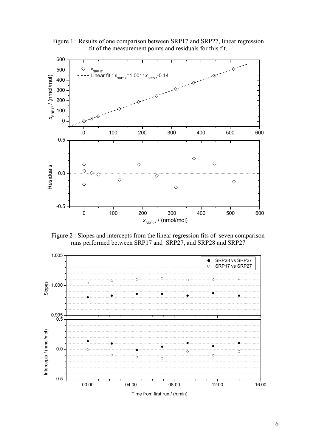

Figure 1 : Results of one comparison between SRP17 and SRP27, linear regression fit of the measurement points and residuals for this fit.

Figure 2 : Slopes and intercepts from the linear regression fits of seven comparison runs performed between SRP17 and SRP27, and SRP28 and SRP27

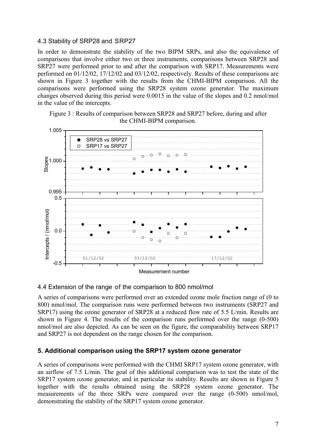#### 4.3 Stability of SRP28 and SRP27

In order to demonstrate the stability of the two BIPM SRPs, and also the equivalence of comparisons that involve either two or three instruments, comparisons between SRP28 and SRP27 were performed prior to and after the comparison with SRP17. Measurements were performed on 01/12/02, 17/12/02 and 03/12/02, respectively. Results of these comparisons are shown in Figure 3 together with the results from the CHMI-BIPM comparison. All the comparisons were performed using the SRP28 system ozone generator. The maximum changes observed during this period were 0.0015 in the value of the slopes and 0.2 nmol/mol in the value of the intercepts.

Figure 3 : Results of comparison between SRP28 and SRP27 before, during and after the CHMI-BIPM comparison.



#### 4.4 Extension of the range of the comparison to 800 nmol/mol

A series of comparisons were performed over an extended ozone mole fraction range of (0 to 800) nmol/mol. The comparison runs were performed between two instruments (SRP27 and SRP17) using the ozone generator of SRP28 at a reduced flow rate of 5.5 L/min. Results are shown in Figure 4. The results of the comparison runs performed over the range (0-500) nmol/mol are also depicted. As can be seen on the figure, the comparability between SRP17 and SRP27 is not dependent on the range chosen for the comparison.

# **5. Additional comparison using the SRP17 system ozone generator**

A series of comparisons were performed with the CHMI SRP17 system ozone generator, with an airflow of 7.5 L/min. The goal of this additional comparison was to test the state of the SRP17 system ozone generator, and in particular its stability. Results are shown in Figure 5 together with the results obtained using the SRP28 system ozone generator. The measurements of the three SRPs were compared over the range (0-500) nmol/mol, demonstrating the stability of the SRP17 system ozone generator.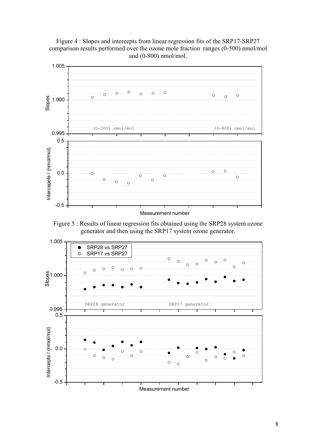

Figure 4 : Slopes and intercepts from linear regression fits of the SRP17-SRP27 comparison results performed over the ozone mole fraction ranges (0-500) nmol/mol and (0-800) nmol/mol.

Figure 5 : Results of linear regression fits obtained using the SRP28 system ozone generator and then using the SRP17 system ozone generator.

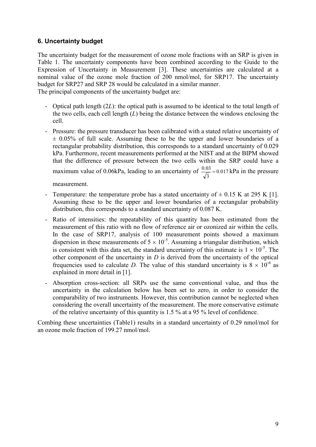# **6. Uncertainty budget**

The uncertainty budget for the measurement of ozone mole fractions with an SRP is given in Table 1. The uncertainty components have been combined according to the Guide to the Expression of Uncertainty in Measurement [3]. These uncertainties are calculated at a nominal value of the ozone mole fraction of 200 nmol/mol, for SRP17. The uncertainty budget for SRP27 and SRP 28 would be calculated in a similar manner. The principal components of the uncertainty budget are:

- Optical path length (2*L*): the optical path is assumed to be identical to the total length of the two cells, each cell length (*L*) being the distance between the windows enclosing the cell.
- Pressure: the pressure transducer has been calibrated with a stated relative uncertainty of  $\pm$  0.05% of full scale. Assuming these to be the upper and lower boundaries of a rectangular probability distribution, this corresponds to a standard uncertainty of 0.029 kPa. Furthermore, recent measurements performed at the NIST and at the BIPM showed that the difference of pressure between the two cells within the SRP could have a maximum value of 0.06kPa, leading to an uncertainty of  $\frac{0.05}{\sqrt{2}} = 0.017$ 3  $\frac{0.03}{\sqrt{2}}$  = 0.017 kPa in the pressure

measurement.

- Temperature: the temperature probe has a stated uncertainty of  $\pm$  0.15 K at 295 K [1]. Assuming these to be the upper and lower boundaries of a rectangular probability distribution, this corresponds to a standard uncertainty of 0.087 K.
- Ratio of intensities: the repeatability of this quantity has been estimated from the measurement of this ratio with no flow of reference air or ozonized air within the cells. In the case of SRP17, analysis of 100 measurement points showed a maximum dispersion in these measurements of  $5 \times 10^{-5}$ . Assuming a triangular distribution, which is consistent with this data set, the standard uncertainty of this estimate is  $1 \times 10^{-5}$ . The other component of the uncertainty in *D* is derived from the uncertainty of the optical frequencies used to calculate *D*. The value of this standard uncertainty is  $8 \times 10^{-6}$  as explained in more detail in [1].
- Absorption cross-section: all SRPs use the same conventional value, and thus the uncertainty in the calculation below has been set to zero, in order to consider the comparability of two instruments. However, this contribution cannot be neglected when considering the overall uncertainty of the measurement. The more conservative estimate of the relative uncertainty of this quantity is 1.5 % at a 95 % level of confidence.

Combing these uncertainties (Table1) results in a standard uncertainty of 0.29 nmol/mol for an ozone mole fraction of 199.27 nmol/mol.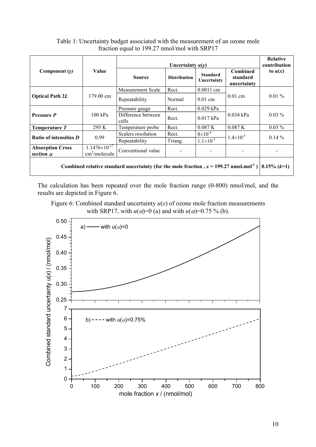|                                                                                                                  | Value                                                   | Uncertainty $u(y)$          |                     |                                |                                            | Relative<br>contribution |
|------------------------------------------------------------------------------------------------------------------|---------------------------------------------------------|-----------------------------|---------------------|--------------------------------|--------------------------------------------|--------------------------|
| Component $(y)$                                                                                                  |                                                         | <b>Source</b>               | <b>Distribution</b> | <b>Standard</b><br>Uncertainty | <b>Combined</b><br>standard<br>uncertainty | to $u(x)$                |
| <b>Optical Path 2L</b>                                                                                           | 179.00 cm                                               | <b>Measurement Scale</b>    | Rect.               | $0.0011$ cm                    | $0.01$ cm                                  | $0.01\%$                 |
|                                                                                                                  |                                                         | Repeatability               | Normal              | $0.01$ cm                      |                                            |                          |
| <b>Pressure P</b>                                                                                                | $100$ kPa                                               | Pressure gauge              | Rect.               | $0.029$ kPa                    | $0.034$ kPa                                | $0.03\%$                 |
|                                                                                                                  |                                                         | Difference between<br>cells | Rect.               | $0.017$ kPa                    |                                            |                          |
| Temperature T                                                                                                    | 295 K                                                   | Temperature probe           | Rect.               | 0.087K                         | 0.087K                                     | $0.03\%$                 |
| Ratio of intensities D                                                                                           | 0.99                                                    | Scalers resolution          | Rect.               | $8\times10^{-6}$               | $1.4 \times 10^{-5}$                       | $0.14\%$                 |
|                                                                                                                  |                                                         | Repeatability               | Triang.             | $1.1 \times 10^{-5}$           |                                            |                          |
| <b>Absorption Cross</b><br>section $\alpha$                                                                      | $1.1476\times10^{-17}$<br>$\text{cm}^2/\text{molecule}$ | Conventional value          |                     |                                |                                            |                          |
| Combined relative standard uncertainty (for the mole fraction, $x = 199.27$ nmol.mol <sup>-1</sup> ) 0.15% (k=1) |                                                         |                             |                     |                                |                                            |                          |

Table 1: Uncertainty budget associated with the measurement of an ozone mole fraction equal to 199.27 nmol/mol with SRP17

The calculation has been repeated over the mole fraction range (0-800) nmol/mol, and the results are depicted in Figure 6.